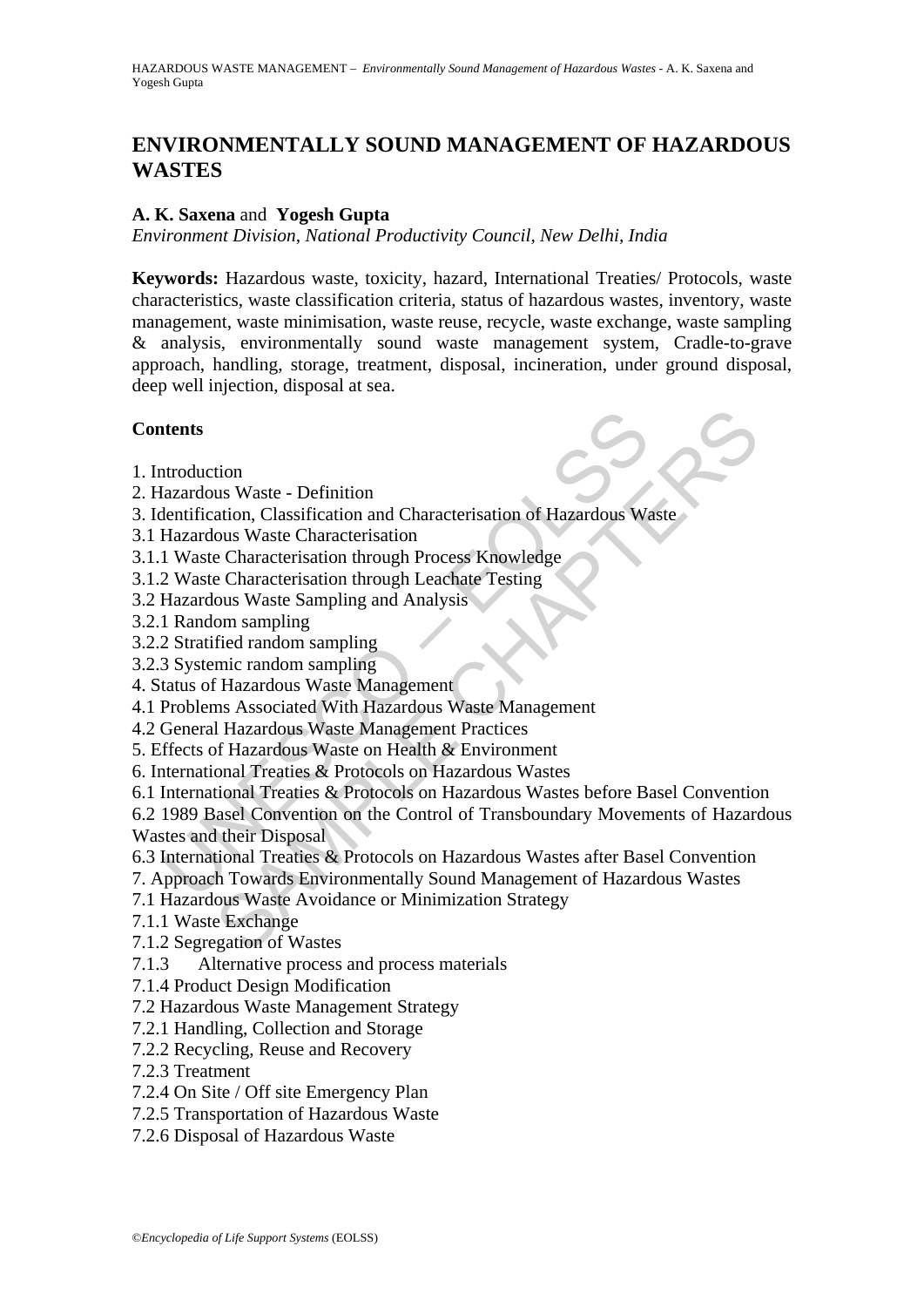# **ENVIRONMENTALLY SOUND MANAGEMENT OF HAZARDOUS WASTES**

## **A. K. Saxena** and **Yogesh Gupta**

*Environment Division, National Productivity Council, New Delhi, India* 

**Keywords:** Hazardous waste, toxicity, hazard, International Treaties/ Protocols, waste characteristics, waste classification criteria, status of hazardous wastes, inventory, waste management, waste minimisation, waste reuse, recycle, waste exchange, waste sampling & analysis, environmentally sound waste management system, Cradle-to-grave approach, handling, storage, treatment, disposal, incineration, under ground disposal, deep well injection, disposal at sea.

## **Contents**

- 1. Introduction
- 2. Hazardous Waste Definition
- 3. Identification, Classification and Characterisation of Hazardous Waste
- 3.1 Hazardous Waste Characterisation
- 3.1.1 Waste Characterisation through Process Knowledge
- 3.1.2 Waste Characterisation through Leachate Testing
- 3.2 Hazardous Waste Sampling and Analysis
- 3.2.1 Random sampling
- 3.2.2 Stratified random sampling
- 3.2.3 Systemic random sampling
- 4. Status of Hazardous Waste Management
- 4.1 Problems Associated With Hazardous Waste Management
- 4.2 General Hazardous Waste Management Practices
- 5. Effects of Hazardous Waste on Health & Environment
- 6. International Treaties & Protocols on Hazardous Wastes
- 6.1 International Treaties & Protocols on Hazardous Wastes before Basel Convention

**Examplementary**<br>
Introduction<br>
Itazardous Waste - Definition<br>
Hentification, Classification and Characterisation of Hazardous Waste<br>
Hazardous Waste Characterisation through Process Knowledge<br>
2 Waste Characterisation thr tion<br>
us Waste - Definition<br>
ation, Classification and Characterisation of Hazardous Waste<br>
ous Waste Characterisation<br>
e Characterisation through Process Knowledge<br>
constant anaphing<br>
ous Waste Sampling and Analysis<br>
ous 6.2 1989 Basel Convention on the Control of Transboundary Movements of Hazardous Wastes and their Disposal

- 6.3 International Treaties & Protocols on Hazardous Wastes after Basel Convention
- 7. Approach Towards Environmentally Sound Management of Hazardous Wastes
- 7.1 Hazardous Waste Avoidance or Minimization Strategy
- 7.1.1 Waste Exchange
- 7.1.2 Segregation of Wastes
- 7.1.3 Alternative process and process materials
- 7.1.4 Product Design Modification
- 7.2 Hazardous Waste Management Strategy
- 7.2.1 Handling, Collection and Storage
- 7.2.2 Recycling, Reuse and Recovery
- 7.2.3 Treatment
- 7.2.4 On Site / Off site Emergency Plan
- 7.2.5 Transportation of Hazardous Waste
- 7.2.6 Disposal of Hazardous Waste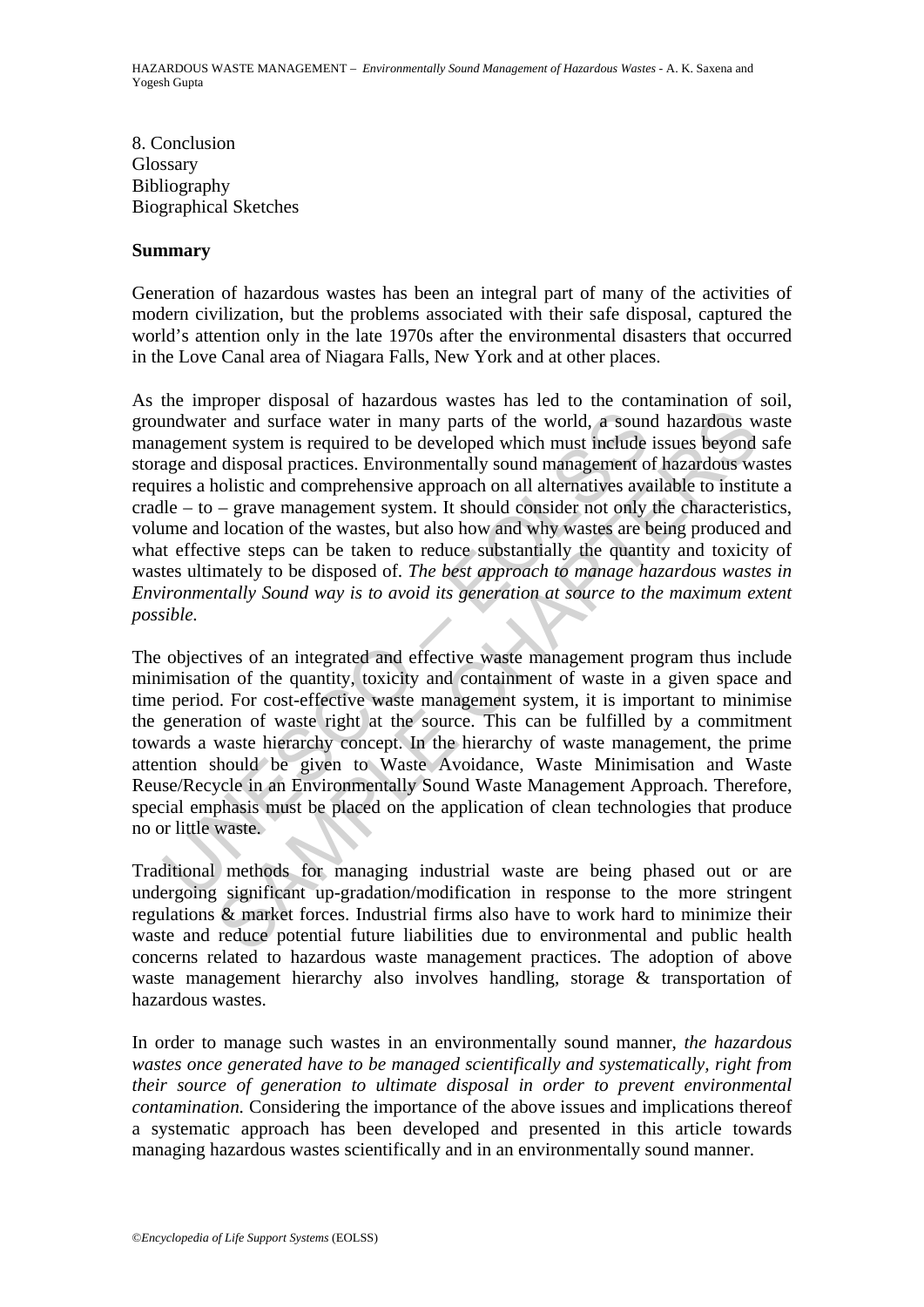8. Conclusion Glossary Bibliography Biographical Sketches

### **Summary**

Generation of hazardous wastes has been an integral part of many of the activities of modern civilization, but the problems associated with their safe disposal, captured the world's attention only in the late 1970s after the environmental disasters that occurred in the Love Canal area of Niagara Falls, New York and at other places.

and motion and surface water in many parts of the world, a sound<br>agement system is required to be developed which must include<br>age and disposal practices. Environmentally sound management of<br>irres a holistic and comprehens For and surface water in many parts of the world, a sound hazardous wat system is required to be developed which must include issues beyond disposal practices. Environmentally sound management of hazardous was nold issues As the improper disposal of hazardous wastes has led to the contamination of soil, groundwater and surface water in many parts of the world, a sound hazardous waste management system is required to be developed which must include issues beyond safe storage and disposal practices. Environmentally sound management of hazardous wastes requires a holistic and comprehensive approach on all alternatives available to institute a cradle – to – grave management system. It should consider not only the characteristics, volume and location of the wastes, but also how and why wastes are being produced and what effective steps can be taken to reduce substantially the quantity and toxicity of wastes ultimately to be disposed of. *The best approach to manage hazardous wastes in Environmentally Sound way is to avoid its generation at source to the maximum extent possible.* 

The objectives of an integrated and effective waste management program thus include minimisation of the quantity, toxicity and containment of waste in a given space and time period. For cost-effective waste management system, it is important to minimise the generation of waste right at the source. This can be fulfilled by a commitment towards a waste hierarchy concept. In the hierarchy of waste management, the prime attention should be given to Waste Avoidance, Waste Minimisation and Waste Reuse/Recycle in an Environmentally Sound Waste Management Approach. Therefore, special emphasis must be placed on the application of clean technologies that produce no or little waste.

Traditional methods for managing industrial waste are being phased out or are undergoing significant up-gradation/modification in response to the more stringent regulations & market forces. Industrial firms also have to work hard to minimize their waste and reduce potential future liabilities due to environmental and public health concerns related to hazardous waste management practices. The adoption of above waste management hierarchy also involves handling, storage & transportation of hazardous wastes.

In order to manage such wastes in an environmentally sound manner, *the hazardous wastes once generated have to be managed scientifically and systematically, right from their source of generation to ultimate disposal in order to prevent environmental contamination.* Considering the importance of the above issues and implications thereof a systematic approach has been developed and presented in this article towards managing hazardous wastes scientifically and in an environmentally sound manner.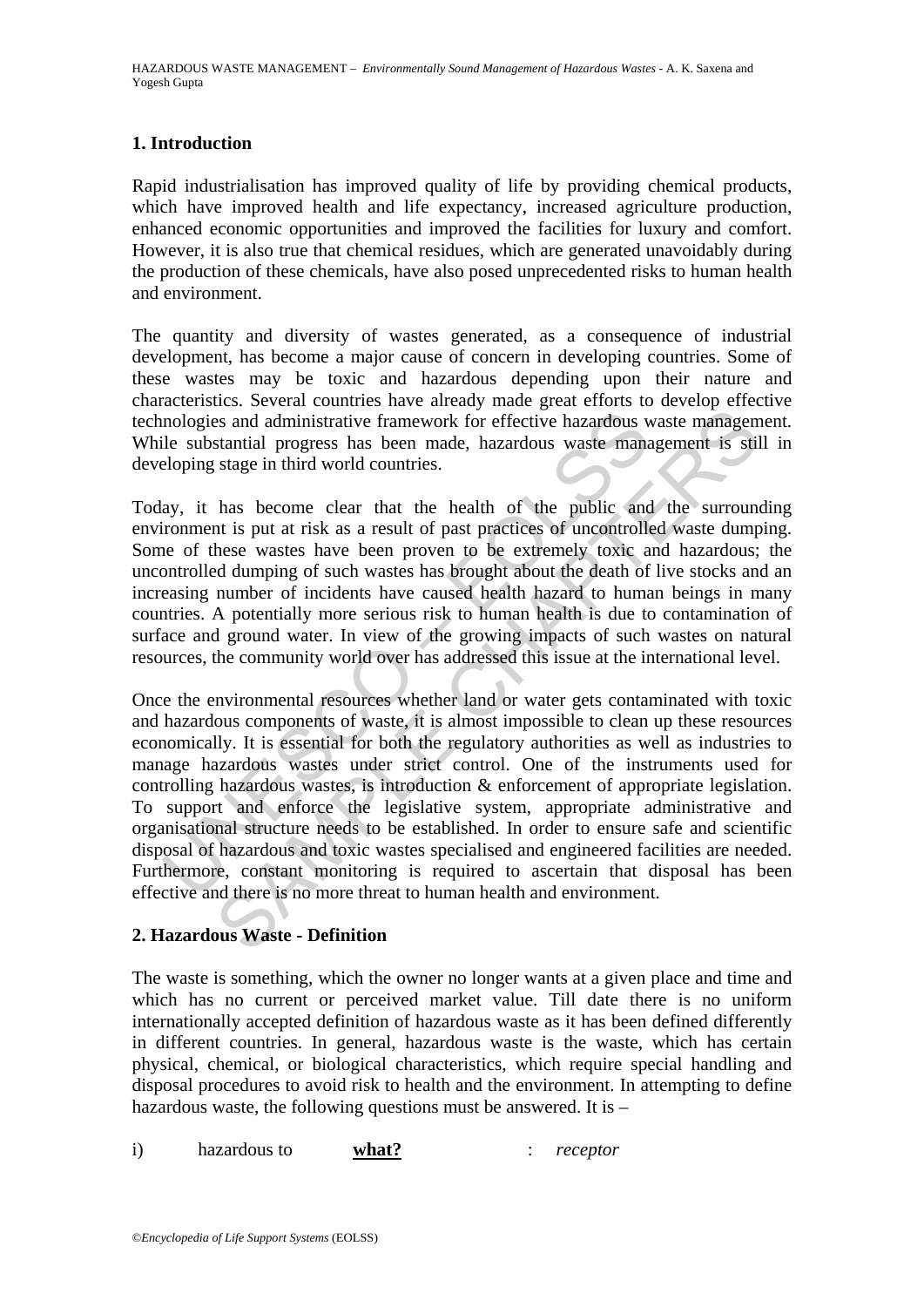## **1. Introduction**

Rapid industrialisation has improved quality of life by providing chemical products, which have improved health and life expectancy, increased agriculture production, enhanced economic opportunities and improved the facilities for luxury and comfort. However, it is also true that chemical residues, which are generated unavoidably during the production of these chemicals, have also posed unprecedented risks to human health and environment.

The quantity and diversity of wastes generated, as a consequence of industrial development, has become a major cause of concern in developing countries. Some of these wastes may be toxic and hazardous depending upon their nature and characteristics. Several countries have already made great efforts to develop effective technologies and administrative framework for effective hazardous waste management. While substantial progress has been made, hazardous waste management is still in developing stage in third world countries.

Today, it has become clear that the health of the public and the surrounding environment is put at risk as a result of past practices of uncontrolled waste dumping. Some of these wastes have been proven to be extremely toxic and hazardous; the uncontrolled dumping of such wastes has brought about the death of live stocks and an increasing number of incidents have caused health hazard to human beings in many countries. A potentially more serious risk to human health is due to contamination of surface and ground water. In view of the growing impacts of such wastes on natural resources, the community world over has addressed this issue at the international level.

mologies and administrative framework for effective hazardous viele substantial progress has been made, hazardous waste mana-<br>eloping stage in third world countries.<br>ay, it has become clear that the health of the public an is and administrative framework for effective hazardous waste management is still stage in third world countries.<br>
has become clear that the health of the public and the surround is still stage in third world countries.<br>
h Once the environmental resources whether land or water gets contaminated with toxic and hazardous components of waste, it is almost impossible to clean up these resources economically. It is essential for both the regulatory authorities as well as industries to manage hazardous wastes under strict control. One of the instruments used for controlling hazardous wastes, is introduction & enforcement of appropriate legislation. To support and enforce the legislative system, appropriate administrative and organisational structure needs to be established. In order to ensure safe and scientific disposal of hazardous and toxic wastes specialised and engineered facilities are needed. Furthermore, constant monitoring is required to ascertain that disposal has been effective and there is no more threat to human health and environment.

## **2. Hazardous Waste - Definition**

The waste is something, which the owner no longer wants at a given place and time and which has no current or perceived market value. Till date there is no uniform internationally accepted definition of hazardous waste as it has been defined differently in different countries. In general, hazardous waste is the waste, which has certain physical, chemical, or biological characteristics, which require special handling and disposal procedures to avoid risk to health and the environment. In attempting to define hazardous waste, the following questions must be answered. It is –

i) hazardous to **what?** : *receptor*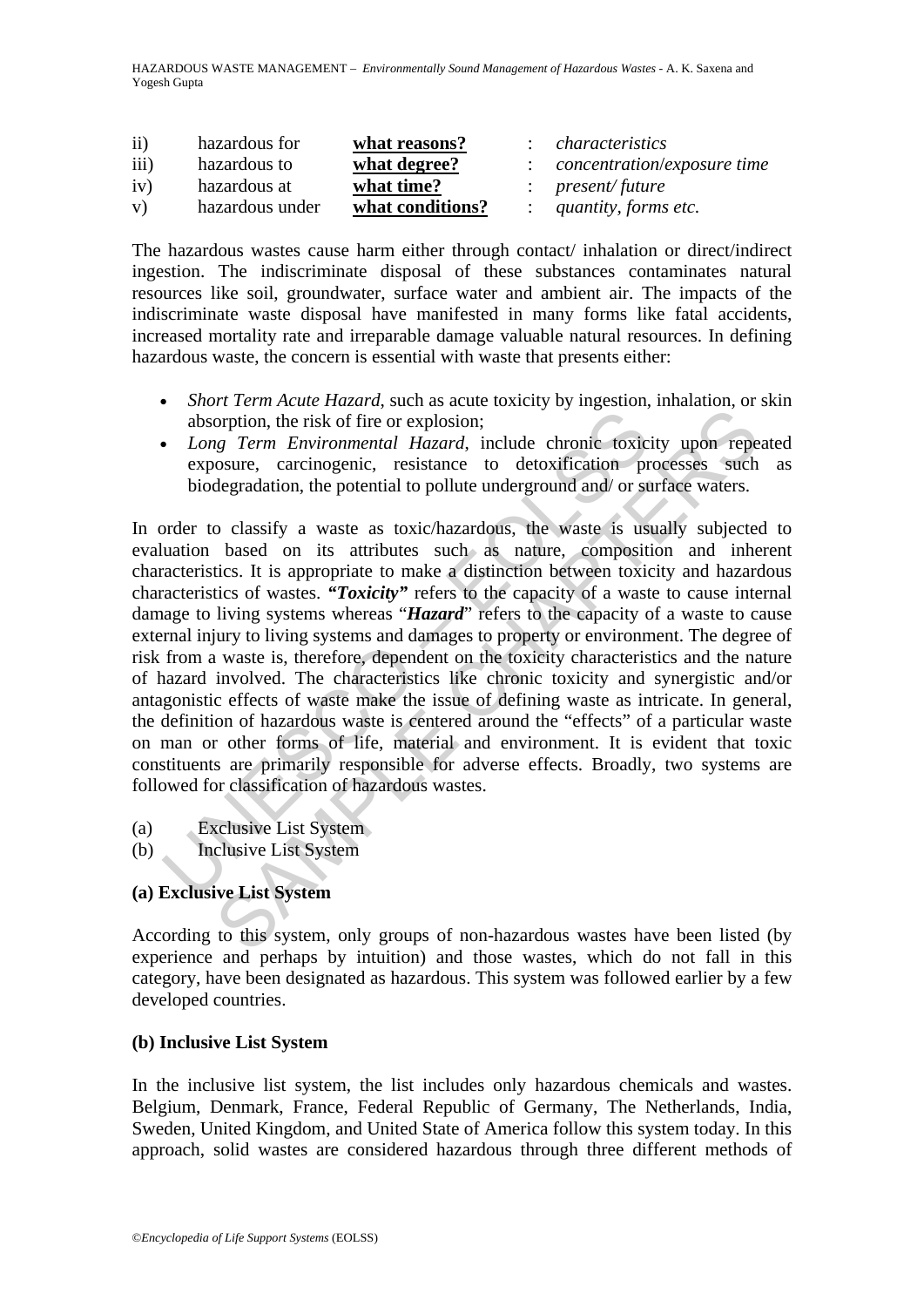HAZARDOUS WASTE MANAGEMENT – *Environmentally Sound Management of Hazardous Wastes* - A. K. Saxena and Yogesh Gupta

| $\overline{ii}$  | hazardous for   | what reasons?    | characteristics                    |
|------------------|-----------------|------------------|------------------------------------|
| $\overline{iii}$ | hazardous to    | what degree?     | <i>concentration/exposure time</i> |
| iv)              | hazardous at    | what time?       | $:$ present/future                 |
| V)               | hazardous under | what conditions? | quantity, forms etc.               |

The hazardous wastes cause harm either through contact/ inhalation or direct/indirect ingestion. The indiscriminate disposal of these substances contaminates natural resources like soil, groundwater, surface water and ambient air. The impacts of the indiscriminate waste disposal have manifested in many forms like fatal accidents, increased mortality rate and irreparable damage valuable natural resources. In defining hazardous waste, the concern is essential with waste that presents either:

- *Short Term Acute Hazard*, such as acute toxicity by ingestion, inhalation, or skin absorption, the risk of fire or explosion;
- *Long Term Environmental Hazard*, include chronic toxicity upon repeated exposure, carcinogenic, resistance to detoxification processes such as biodegradation, the potential to pollute underground and/ or surface waters.

absorption, the risk of fire or explosion;<br>
Long Term Environmental Hazard, include chronic toxic<br>
exposure, carcinogenic, resistance to detoxification pr<br>
biodegradation, the potential to pollute underground and/ or st<br>
o orption, the risk of fire or explosion;<br>
orption, the risk of fire or explosion;<br>
orption, the risk of fire or explosion;<br>
gy *Term Environmental Hazard*, include chronic toxicity upon repe<br>
ossure, carcinogenic, resistan In order to classify a waste as toxic/hazardous, the waste is usually subjected to evaluation based on its attributes such as nature, composition and inherent characteristics. It is appropriate to make a distinction between toxicity and hazardous characteristics of wastes. *"Toxicity"* refers to the capacity of a waste to cause internal damage to living systems whereas "*Hazard*" refers to the capacity of a waste to cause external injury to living systems and damages to property or environment. The degree of risk from a waste is, therefore, dependent on the toxicity characteristics and the nature of hazard involved. The characteristics like chronic toxicity and synergistic and/or antagonistic effects of waste make the issue of defining waste as intricate. In general, the definition of hazardous waste is centered around the "effects" of a particular waste on man or other forms of life, material and environment. It is evident that toxic constituents are primarily responsible for adverse effects. Broadly, two systems are followed for classification of hazardous wastes.

- (a) Exclusive List System
- (b) Inclusive List System

# **(a) Exclusive List System**

According to this system, only groups of non-hazardous wastes have been listed (by experience and perhaps by intuition) and those wastes, which do not fall in this category, have been designated as hazardous. This system was followed earlier by a few developed countries.

## **(b) Inclusive List System**

In the inclusive list system, the list includes only hazardous chemicals and wastes. Belgium, Denmark, France, Federal Republic of Germany, The Netherlands, India, Sweden, United Kingdom, and United State of America follow this system today. In this approach, solid wastes are considered hazardous through three different methods of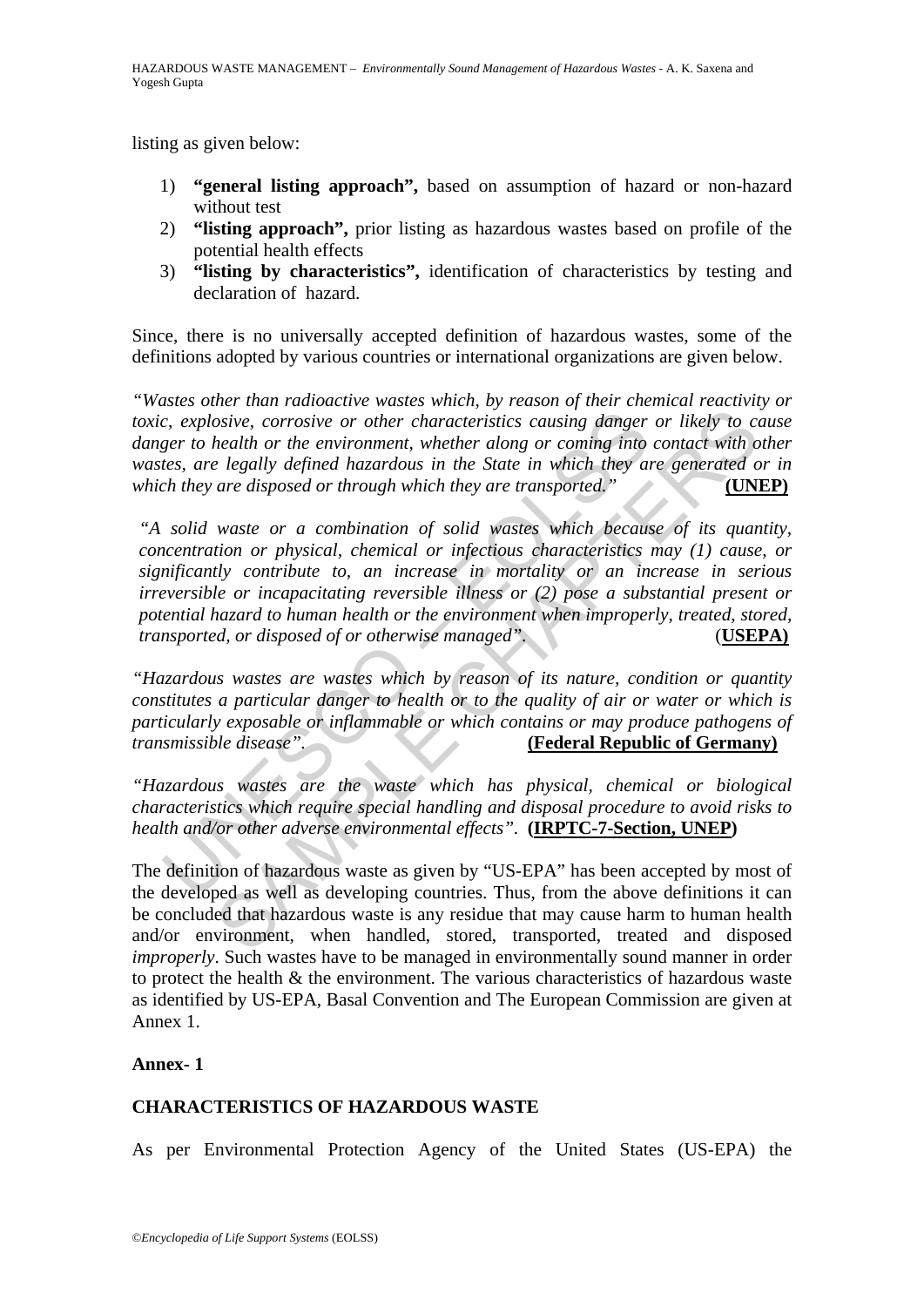listing as given below:

- 1) **"general listing approach",** based on assumption of hazard or non-hazard without test
- 2) **"listing approach",** prior listing as hazardous wastes based on profile of the potential health effects
- 3) **"listing by characteristics",** identification of characteristics by testing and declaration of hazard.

Since, there is no universally accepted definition of hazardous wastes, some of the definitions adopted by various countries or international organizations are given below.

*"Wastes other than radioactive wastes which, by reason of their chemical reactivity or toxic, explosive, corrosive or other characteristics causing danger or likely to cause danger to health or the environment, whether along or coming into contact with other wastes, are legally defined hazardous in the State in which they are generated or in which they are disposed or through which they are transported."* **(UNEP)**

c, explosive, corrosive or other characteristics causing danger<br>ger to health or the environment, whether along or coming into<br>tes, are legally defined hazardous in the State in which they as<br>ch they are disposed or throug osive, corrosive or other characteristics causing danger or likely to consiste, corrosive or other characteristics causing danger or likely to constraint of the environment, whether along or coming into contact with or the *"A solid waste or a combination of solid wastes which because of its quantity, concentration or physical, chemical or infectious characteristics may (1) cause, or significantly contribute to, an increase in mortality or an increase in serious irreversible or incapacitating reversible illness or (2) pose a substantial present or potential hazard to human health or the environment when improperly, treated, stored, transported, or disposed of or otherwise managed".* (**USEPA)**

*"Hazardous wastes are wastes which by reason of its nature, condition or quantity constitutes a particular danger to health or to the quality of air or water or which is particularly exposable or inflammable or which contains or may produce pathogens of transmissible disease".* **(Federal Republic of Germany)**

*"Hazardous wastes are the waste which has physical, chemical or biological characteristics which require special handling and disposal procedure to avoid risks to health and/or other adverse environmental effects".* **(IRPTC-7-Section, UNEP)**

The definition of hazardous waste as given by "US-EPA" has been accepted by most of the developed as well as developing countries. Thus, from the above definitions it can be concluded that hazardous waste is any residue that may cause harm to human health and/or environment, when handled, stored, transported, treated and disposed *improperly*. Such wastes have to be managed in environmentally sound manner in order to protect the health & the environment. The various characteristics of hazardous waste as identified by US-EPA, Basal Convention and The European Commission are given at Annex 1.

**Annex- 1** 

# **CHARACTERISTICS OF HAZARDOUS WASTE**

As per Environmental Protection Agency of the United States (US-EPA) the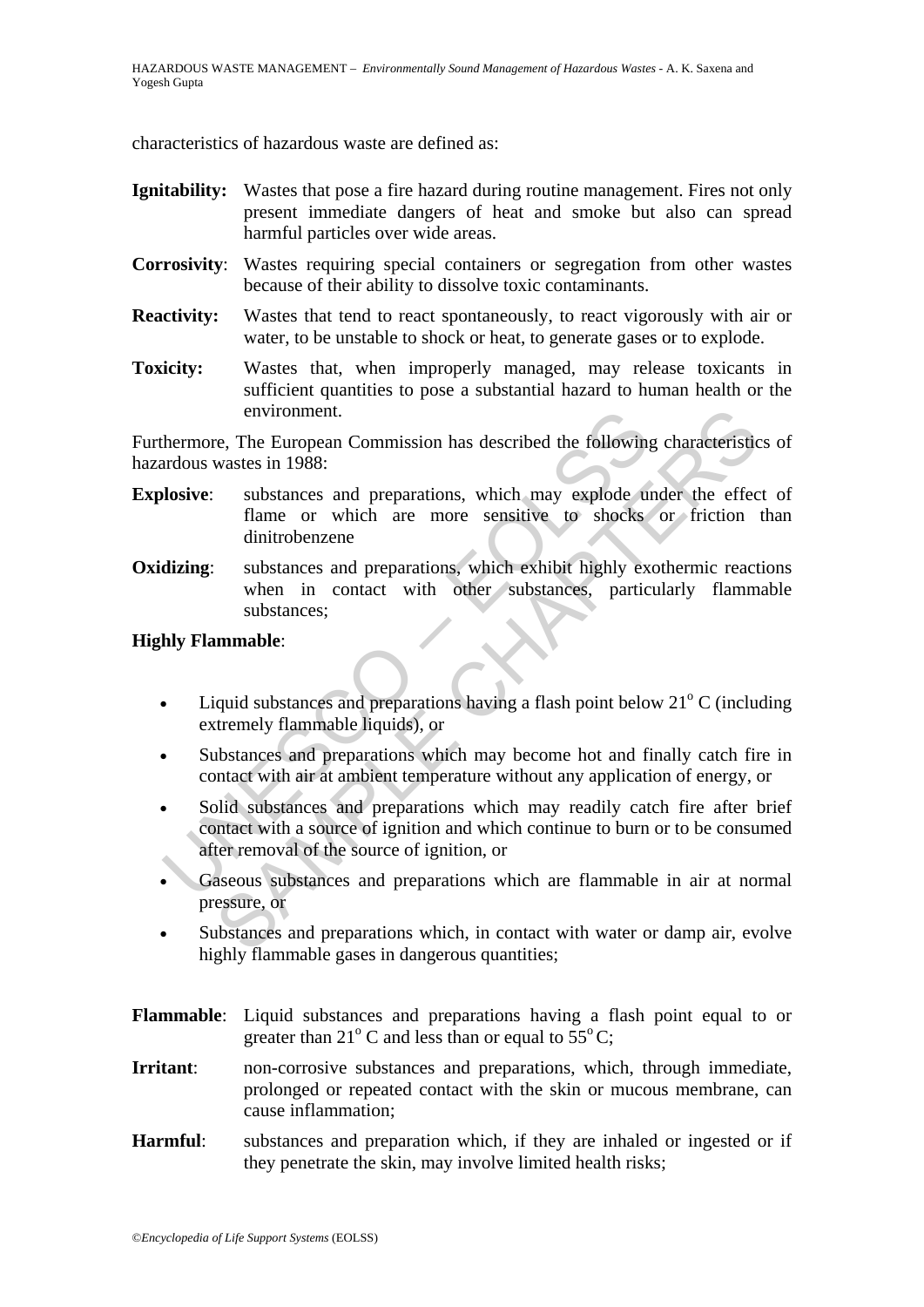characteristics of hazardous waste are defined as:

- **Ignitability:** Wastes that pose a fire hazard during routine management. Fires not only present immediate dangers of heat and smoke but also can spread harmful particles over wide areas.
- **Corrosivity**: Wastes requiring special containers or segregation from other wastes because of their ability to dissolve toxic contaminants.
- **Reactivity:** Wastes that tend to react spontaneously, to react vigorously with air or water, to be unstable to shock or heat, to generate gases or to explode.
- **Toxicity:** Wastes that, when improperly managed, may release toxicants in sufficient quantities to pose a substantial hazard to human health or the environment.

Furthermore, The European Commission has described the following characteristics of hazardous wastes in 1988:

- **Explosive:** substances and preparations, which may explode under the effect of flame or which are more sensitive to shocks or friction than dinitrobenzene
- **Oxidizing:** substances and preparations, which exhibit highly exothermic reactions when in contact with other substances, particularly flammable substances;

#### **Highly Flammable**:

- Liquid substances and preparations having a flash point below  $21^{\circ}$  C (including extremely flammable liquids), or
- Substances and preparations which may become hot and finally catch fire in contact with air at ambient temperature without any application of energy, or
- environment.<br>
hermore, The European Commission has described the following<br>
ardous wastes in 1988:<br> **losive:** substances and preparations, which may explode us<br>
flame or which are more sensitive to shocks<br>
dinitrobenzene<br> environment.<br>
The European Commission has described the following characteristic<br>
wastes in 1988:<br>
substances and preparations, which may explode under the effect<br>
flame or which are more sensitive to shocks or friction<br>
d Solid substances and preparations which may readily catch fire after brief contact with a source of ignition and which continue to burn or to be consumed after removal of the source of ignition, or
- Gaseous substances and preparations which are flammable in air at normal pressure, or
- Substances and preparations which, in contact with water or damp air, evolve highly flammable gases in dangerous quantities;
- **Flammable**: Liquid substances and preparations having a flash point equal to or greater than 21 $\degree$  C and less than or equal to 55 $\degree$  C;
- **Irritant**: non-corrosive substances and preparations, which, through immediate, prolonged or repeated contact with the skin or mucous membrane, can cause inflammation;
- **Harmful**: substances and preparation which, if they are inhaled or ingested or if they penetrate the skin, may involve limited health risks;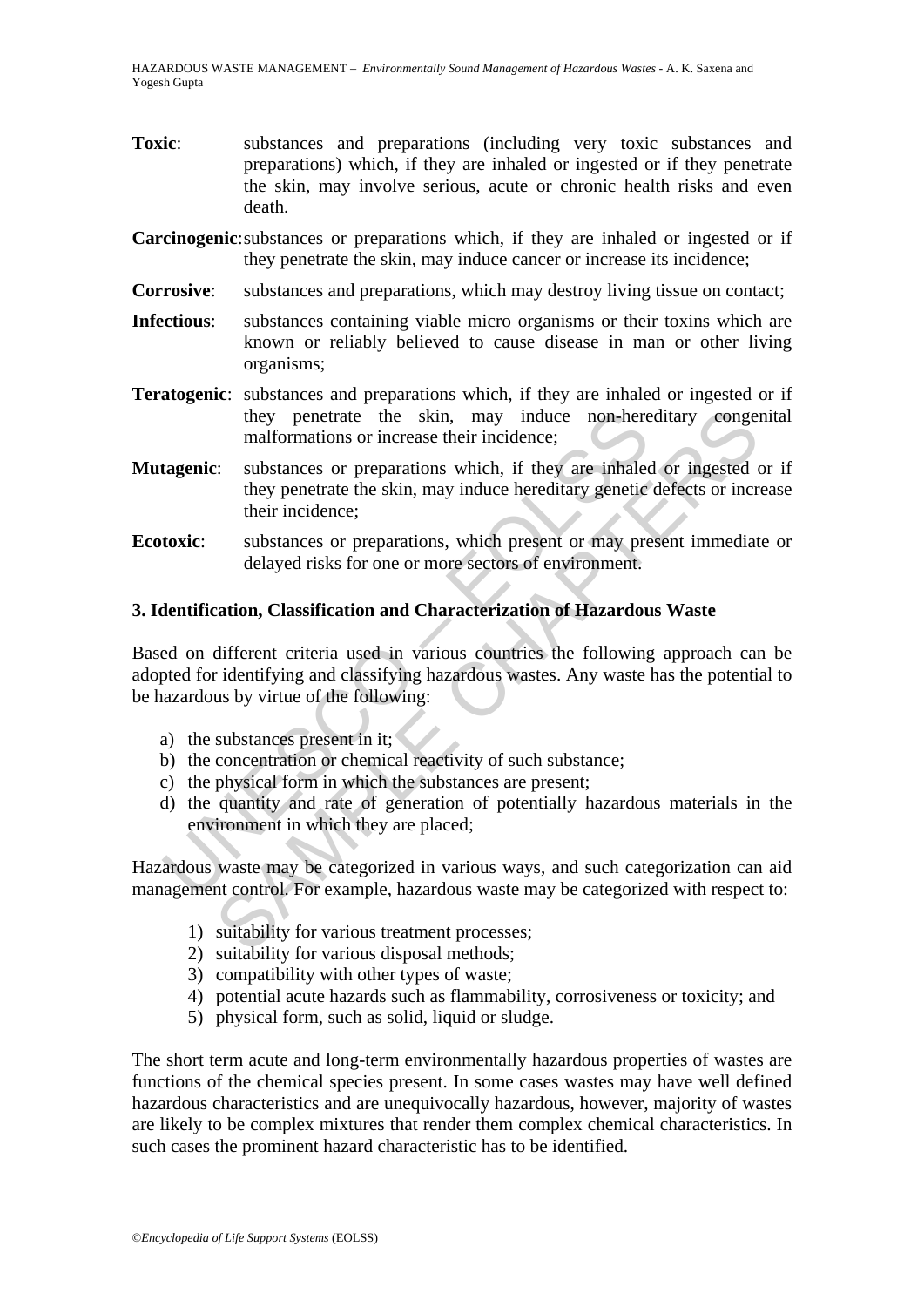- **Toxic**: substances and preparations (including very toxic substances and preparations) which, if they are inhaled or ingested or if they penetrate the skin, may involve serious, acute or chronic health risks and even death.
- **Carcinogenic**: substances or preparations which, if they are inhaled or ingested or if they penetrate the skin, may induce cancer or increase its incidence;
- **Corrosive:** substances and preparations, which may destroy living tissue on contact;
- **Infectious**: substances containing viable micro organisms or their toxins which are known or reliably believed to cause disease in man or other living organisms;
- **Teratogenic**: substances and preparations which, if they are inhaled or ingested or if they penetrate the skin, may induce non-hereditary congenital malformations or increase their incidence;
- they penetrate the skin, may induce non-here<br>
malformations or increase their incidence;<br> **tagenic:** substances or preparations which, if they are inhaled<br>
they penetrate the skin, may induce hereditary genetic<br> **toxic:** s they penetrate the skin, may induce non-hereditary conger<br>malformations or increase their incidence;<br>
<br>
:: substances or preparations which, if they are inhaled or ingested<br>
they penetrate the skin, may induce hereditary g **Mutagenic**: substances or preparations which, if they are inhaled or ingested or if they penetrate the skin, may induce hereditary genetic defects or increase their incidence;
- **Ecotoxic:** substances or preparations, which present or may present immediate or delayed risks for one or more sectors of environment.

## **3. Identification, Classification and Characterization of Hazardous Waste**

Based on different criteria used in various countries the following approach can be adopted for identifying and classifying hazardous wastes. Any waste has the potential to be hazardous by virtue of the following:

- a) the substances present in it;
- b) the concentration or chemical reactivity of such substance;
- c) the physical form in which the substances are present;
- d) the quantity and rate of generation of potentially hazardous materials in the environment in which they are placed;

Hazardous waste may be categorized in various ways, and such categorization can aid management control. For example, hazardous waste may be categorized with respect to:

- 1) suitability for various treatment processes;
- 2) suitability for various disposal methods;
- 3) compatibility with other types of waste;
- 4) potential acute hazards such as flammability, corrosiveness or toxicity; and
- 5) physical form, such as solid, liquid or sludge.

The short term acute and long-term environmentally hazardous properties of wastes are functions of the chemical species present. In some cases wastes may have well defined hazardous characteristics and are unequivocally hazardous, however, majority of wastes are likely to be complex mixtures that render them complex chemical characteristics. In such cases the prominent hazard characteristic has to be identified.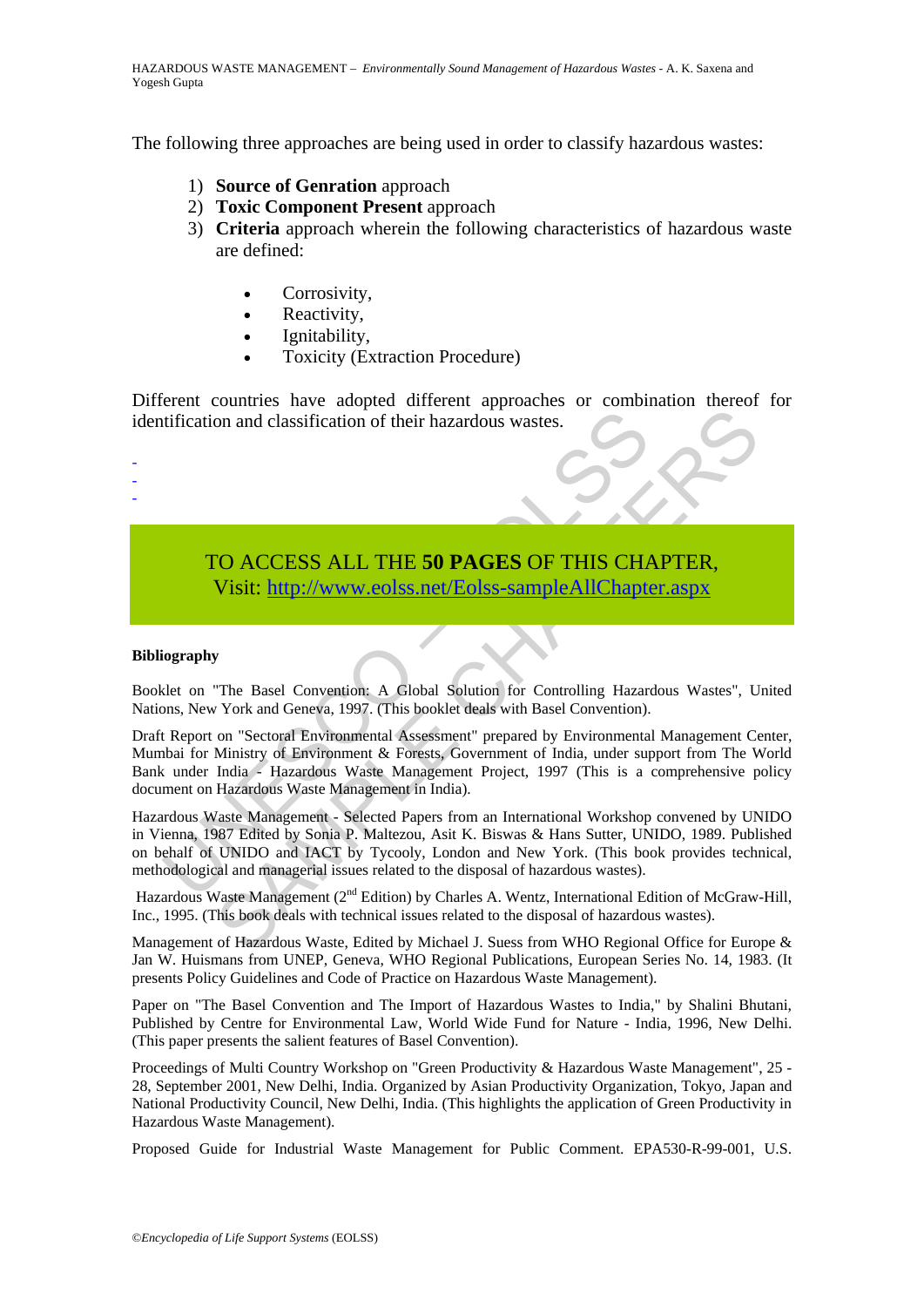The following three approaches are being used in order to classify hazardous wastes:

- 1) **Source of Genration** approach
- 2) **Toxic Component Present** approach
- 3) **Criteria** approach wherein the following characteristics of hazardous waste are defined:
	- Corrosivity,
	- Reactivity,
	- Ignitability,
	- Toxicity (Extraction Procedure)

Different countries have adopted different approaches or combination thereof for identification and classification of their hazardous wastes.

# TO ACCESS ALL THE **50 PAGES** OF THIS CHAPTER, Visit: http://www.eolss.net/Eolss-sampleAllChapter.aspx

#### **Bibliography**

- - -

Booklet on "The Basel Convention: A Global Solution for Controlling Hazardous Wastes", United Nations, New York and Geneva, 1997. (This booklet deals with Basel Convention).

Draft Report on "Sectoral Environmental Assessment" prepared by Environmental Management Center, Mumbai for Ministry of Environment & Forests, Government of India, under support from The World Bank under India - Hazardous Waste Management Project, 1997 (This is a comprehensive policy document on Hazardous Waste Management in India).

tification and classification of their hazardous wastes.<br>
TO ACCESS ALL THE 50 PAGES OF THIS CHA<br>
Visit: http://www.eolss.net/Eolss-sampleAllChapte<br>
iography<br>
elet on "The Basel Convention: A Global Solution for Controllin The Basel Convention of their hazardous wastes.<br> **SAMPLE CH[APT](https://www.eolss.net/ebooklib/sc_cart.aspx?File=E1-08-20-00)ER,**<br>
SAMPLE CHAPTER,<br>
The Basel Convention: A Global Solution for Controlling Hazardous Wastes", U<br>
The Basel Convention: A Global Solution for Controlling Haz Hazardous Waste Management - Selected Papers from an International Workshop convened by UNIDO in Vienna, 1987 Edited by Sonia P. Maltezou, Asit K. Biswas & Hans Sutter, UNIDO, 1989. Published on behalf of UNIDO and IACT by Tycooly, London and New York. (This book provides technical, methodological and managerial issues related to the disposal of hazardous wastes).

Hazardous Waste Management (2<sup>nd</sup> Edition) by Charles A. Wentz, International Edition of McGraw-Hill, Inc., 1995. (This book deals with technical issues related to the disposal of hazardous wastes).

Management of Hazardous Waste, Edited by Michael J. Suess from WHO Regional Office for Europe & Jan W. Huismans from UNEP, Geneva, WHO Regional Publications, European Series No. 14, 1983. (It presents Policy Guidelines and Code of Practice on Hazardous Waste Management).

Paper on "The Basel Convention and The Import of Hazardous Wastes to India," by Shalini Bhutani, Published by Centre for Environmental Law, World Wide Fund for Nature - India, 1996, New Delhi. (This paper presents the salient features of Basel Convention).

Proceedings of Multi Country Workshop on "Green Productivity & Hazardous Waste Management", 25 - 28, September 2001, New Delhi, India. Organized by Asian Productivity Organization, Tokyo, Japan and National Productivity Council, New Delhi, India. (This highlights the application of Green Productivity in Hazardous Waste Management).

Proposed Guide for Industrial Waste Management for Public Comment. EPA530-R-99-001, U.S.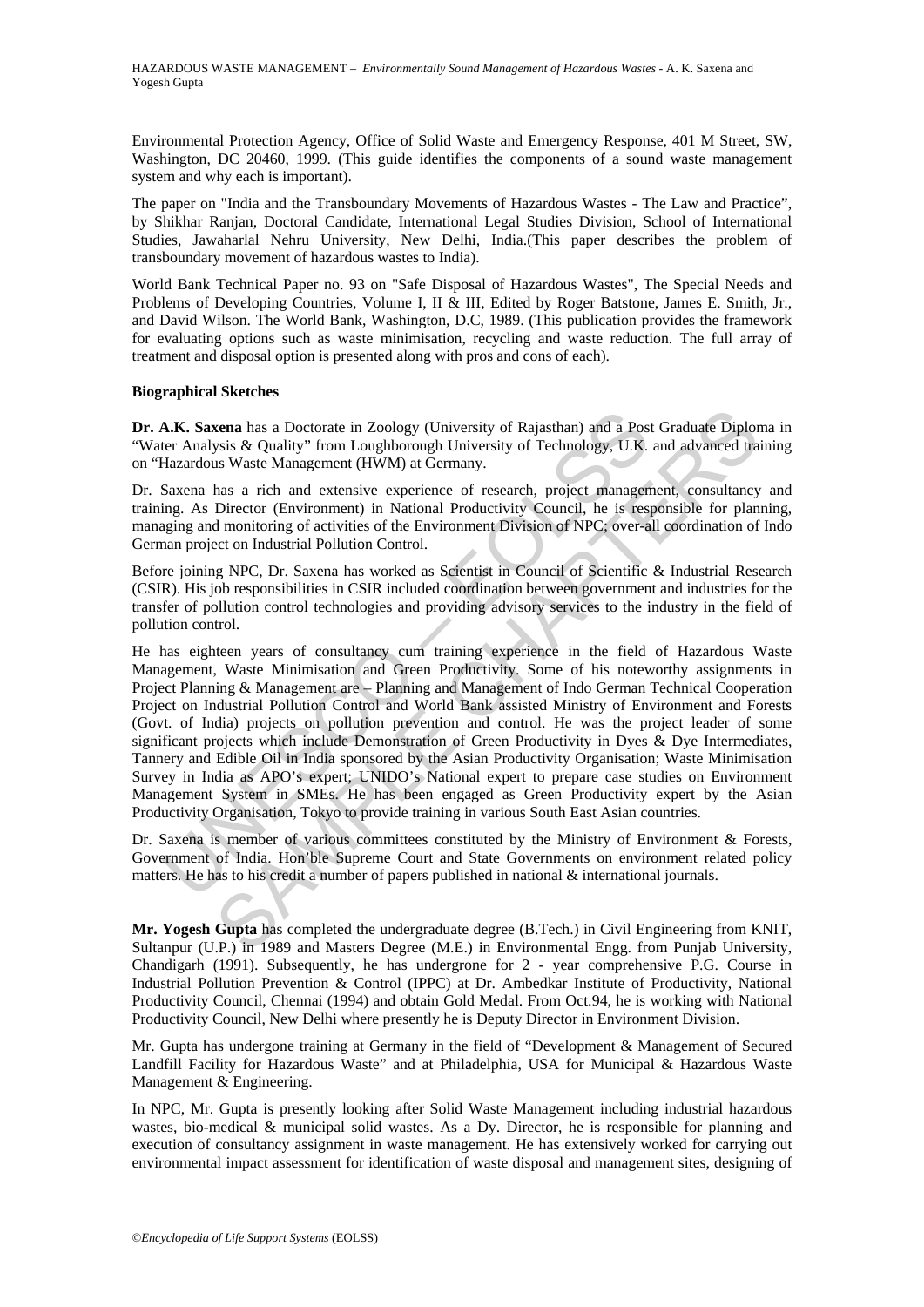HAZARDOUS WASTE MANAGEMENT – *Environmentally Sound Management of Hazardous Wastes* - A. K. Saxena and Yogesh Gupta

Environmental Protection Agency, Office of Solid Waste and Emergency Response, 401 M Street, SW, Washington, DC 20460, 1999. (This guide identifies the components of a sound waste management system and why each is important).

The paper on "India and the Transboundary Movements of Hazardous Wastes - The Law and Practice", by Shikhar Ranjan, Doctoral Candidate, International Legal Studies Division, School of International Studies, Jawaharlal Nehru University, New Delhi, India.(This paper describes the problem of transboundary movement of hazardous wastes to India).

World Bank Technical Paper no. 93 on "Safe Disposal of Hazardous Wastes", The Special Needs and Problems of Developing Countries, Volume I, II & III, Edited by Roger Batstone, James E. Smith, Jr., and David Wilson. The World Bank, Washington, D.C, 1989. (This publication provides the framework for evaluating options such as waste minimisation, recycling and waste reduction. The full array of treatment and disposal option is presented along with pros and cons of each).

#### **Biographical Sketches**

**Dr. A.K. Saxena** has a Doctorate in Zoology (University of Rajasthan) and a Post Graduate Diploma in "Water Analysis & Quality" from Loughborough University of Technology, U.K. and advanced training on "Hazardous Waste Management (HWM) at Germany.

Dr. Saxena has a rich and extensive experience of research, project management, consultancy and training. As Director (Environment) in National Productivity Council, he is responsible for planning, managing and monitoring of activities of the Environment Division of NPC; over-all coordination of Indo German project on Industrial Pollution Control.

Before joining NPC, Dr. Saxena has worked as Scientist in Council of Scientific & Industrial Research (CSIR). His job responsibilities in CSIR included coordination between government and industries for the transfer of pollution control technologies and providing advisory services to the industry in the field of pollution control.

**A.K. Saxena** has a Doctorate in Zoology (University of Rajasthan) and a Poster Analysis & Quality" from Loughborough University of Technology, U.K. Hazardous Waste Management (HWM) at Germany.<br>Saxena has a rich and extens **EXAMPLE AT THEOTEM** In Soloty (University of Rajashan) and a Post Graduate Diploysis & Quality" from Loughborough University of Technology, U.K. and advanced transagement (HWM) at Germany.<br>
SIMPLE CHAPTERS CHAPTER CONSID He has eighteen years of consultancy cum training experience in the field of Hazardous Waste Management, Waste Minimisation and Green Productivity. Some of his noteworthy assignments in Project Planning & Management are – Planning and Management of Indo German Technical Cooperation Project on Industrial Pollution Control and World Bank assisted Ministry of Environment and Forests (Govt. of India) projects on pollution prevention and control. He was the project leader of some significant projects which include Demonstration of Green Productivity in Dyes & Dye Intermediates, Tannery and Edible Oil in India sponsored by the Asian Productivity Organisation; Waste Minimisation Survey in India as APO's expert; UNIDO's National expert to prepare case studies on Environment Management System in SMEs. He has been engaged as Green Productivity expert by the Asian Productivity Organisation, Tokyo to provide training in various South East Asian countries.

Dr. Saxena is member of various committees constituted by the Ministry of Environment & Forests, Government of India. Hon'ble Supreme Court and State Governments on environment related policy matters. He has to his credit a number of papers published in national  $\&$  international journals.

**Mr. Yogesh Gupta** has completed the undergraduate degree (B.Tech.) in Civil Engineering from KNIT, Sultanpur (U.P.) in 1989 and Masters Degree (M.E.) in Environmental Engg. from Punjab University, Chandigarh (1991). Subsequently, he has undergrone for 2 - year comprehensive P.G. Course in Industrial Pollution Prevention & Control (IPPC) at Dr. Ambedkar Institute of Productivity, National Productivity Council, Chennai (1994) and obtain Gold Medal. From Oct.94, he is working with National Productivity Council, New Delhi where presently he is Deputy Director in Environment Division.

Mr. Gupta has undergone training at Germany in the field of "Development & Management of Secured Landfill Facility for Hazardous Waste" and at Philadelphia, USA for Municipal & Hazardous Waste Management & Engineering.

In NPC, Mr. Gupta is presently looking after Solid Waste Management including industrial hazardous wastes, bio-medical & municipal solid wastes. As a Dy. Director, he is responsible for planning and execution of consultancy assignment in waste management. He has extensively worked for carrying out environmental impact assessment for identification of waste disposal and management sites, designing of